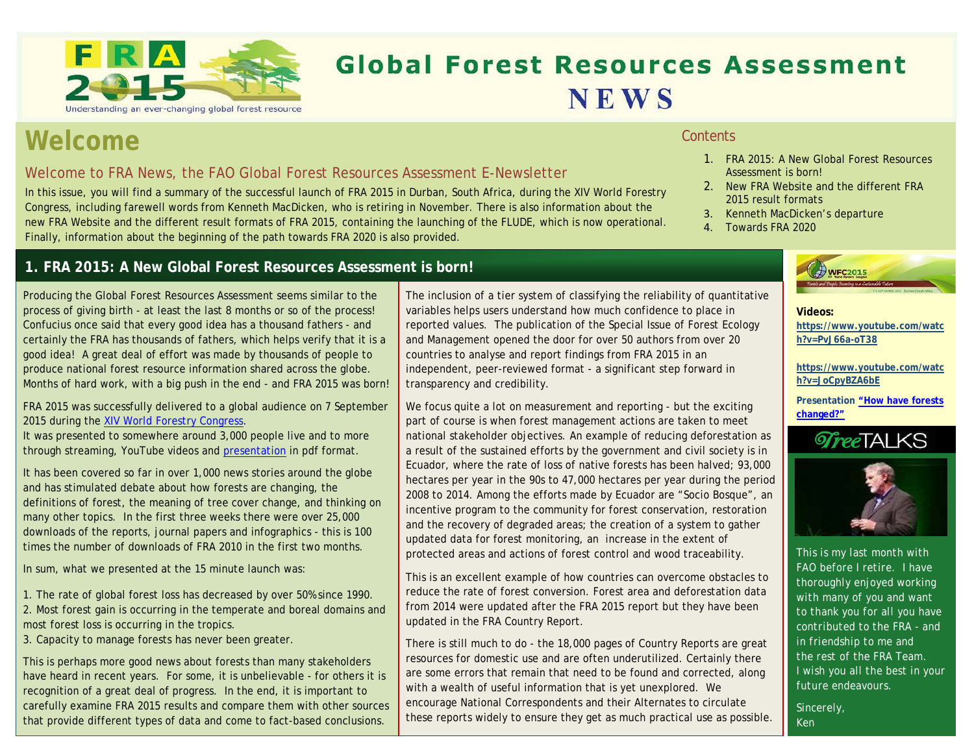

# **Global Forest Resources Assessment NEWS**

## **Welcome**

## Welcome to FRA News, the FAO Global Forest Resources Assessment E-Newsletter

In this issue, you will find a summary of the successful launch of FRA 2015 in Durban, South Africa, during the XIV World Forestry Congress, including farewell words from Kenneth MacDicken, who is retiring in November. There is also information about the new FRA Website and the different result formats of FRA 2015, containing the launching of the FLUDE, which is now operational. Finally, information about the beginning of the path towards FRA 2020 is also provided.

## **1. FRA 2015: A New Global Forest Resources Assessment is born!**

Producing the Global Forest Resources Assessment seems similar to the process of giving birth - at least the last 8 months or so of the process! Confucius once said that every good idea has a thousand fathers - and certainly the FRA has thousands of fathers, which helps verify that it is a good idea! A great deal of effort was made by thousands of people to produce national forest resource information shared across the globe. Months of hard work, with a big push in the end - and FRA 2015 was born!

FRA 2015 was successfully delivered to a global audience on 7 September 2015 during the [XIV World Forestry Congress.](http://www.fao.org/about/meetings/world-forestry-congress/en/)

It was presented to somewhere around 3,000 people live and to more through streaming, YouTube videos and [presentation](http://www.slideshare.net/FAOoftheUN/how-have-forests-changed-results-from-fra-2015) in pdf format.

It has been covered so far in over 1,000 news stories around the globe and has stimulated debate about how forests are changing, the definitions of forest, the meaning of tree cover change, and thinking on many other topics. In the first three weeks there were over 25,000 downloads of the reports, journal papers and infographics - this is 100 times the number of downloads of FRA 2010 in the first two months.

In sum, what we presented at the 15 minute launch was:

1. The rate of global forest loss has decreased by over 50% since 1990. 2. Most forest gain is occurring in the temperate and boreal domains and most forest loss is occurring in the tropics.

3. Capacity to manage forests has never been greater.

This is perhaps more good news about forests than many stakeholders have heard in recent years. For some, it is unbelievable - for others it is recognition of a great deal of progress. In the end, it is important to carefully examine FRA 2015 results and compare them with other sources that provide different types of data and come to fact-based conclusions.

The inclusion of a tier system of classifying the reliability of quantitative variables helps users understand how much confidence to place in reported values. The publication of the Special Issue of Forest Ecology and Management opened the door for over 50 authors from over 20 countries to analyse and report findings from FRA 2015 in an independent, peer-reviewed format - a significant step forward in transparency and credibility.

We focus quite a lot on measurement and reporting - but the exciting part of course is when forest management actions are taken to meet national stakeholder objectives. An example of reducing deforestation as a result of the sustained efforts by the government and civil society is in Ecuador, where the rate of loss of native forests has been halved; 93,000 hectares per year in the 90s to 47,000 hectares per year during the period 2008 to 2014. Among the efforts made by Ecuador are "Socio Bosque", an incentive program to the community for forest conservation, restoration and the recovery of degraded areas; the creation of a system to gather updated data for forest monitoring, an increase in the extent of protected areas and actions of forest control and wood traceability.

This is an excellent example of how countries can overcome obstacles to reduce the rate of forest conversion. Forest area and deforestation data from 2014 were updated after the FRA 2015 report but they have been updated in the FRA Country Report.

There is still much to do - the 18,000 pages of Country Reports are great resources for domestic use and are often underutilized. Certainly there are some errors that remain that need to be found and corrected, along with a wealth of useful information that is yet unexplored. We encourage National Correspondents and their Alternates to circulate these reports widely to ensure they get as much practical use as possible.

#### **Contents**

- 1. FRA 2015: A New Global Forest Resources Assessment is born!
- 2. New FRA Website and the different FRA 2015 result formats
- 3. Kenneth MacDicken's departure
- 4. Towards FRA 2020



#### **Videos:**

**[https://www.youtube.com/watc](https://www.youtube.com/watch?v=PvJ66a-oT38) [h?v=PvJ66a-oT38](https://www.youtube.com/watch?v=PvJ66a-oT38)**

**[https://www.youtube.com/watc](https://www.youtube.com/watch?v=JoCpyBZA6bE) [h?v=JoCpyBZA6bE](https://www.youtube.com/watch?v=JoCpyBZA6bE)**

**Presentation ["How have forests](http://www.slideshare.net/FAOoftheUN/how-have-forests-changed-results-from-fra-2015)  [changed?"](http://www.slideshare.net/FAOoftheUN/how-have-forests-changed-results-from-fra-2015)**





*[This is my last month with](https://www.youtube.com/watch?v=PvJ66a-oT38)  FAO before I retire. I have thoroughly enjoyed working with many of you and want to thank you for all you have contributed to the FRA - and in friendship to me and the rest of the FRA Team. I wish you all the best in your future endeavours.*

*Sincerely, Ken*